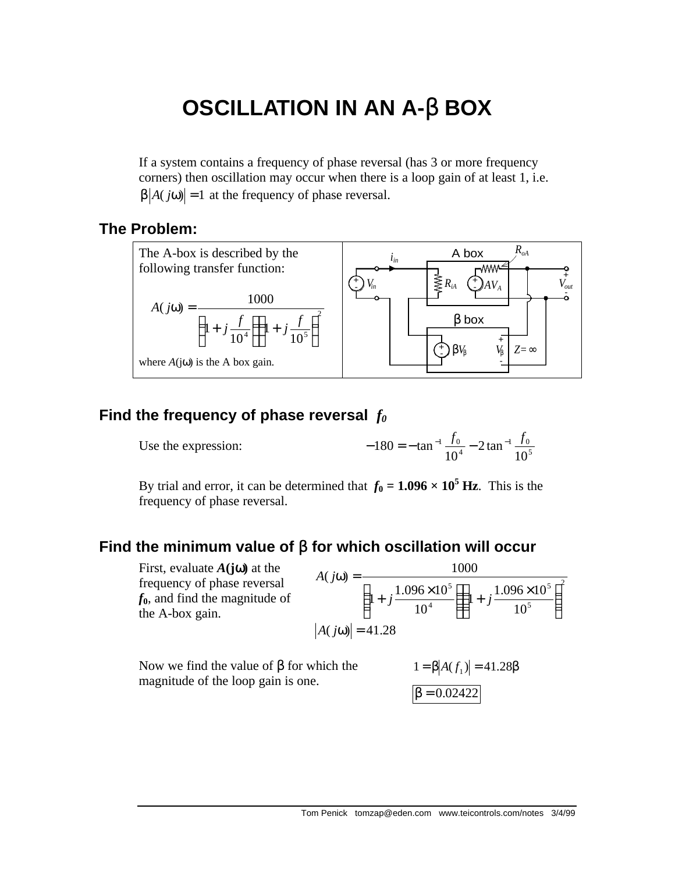# **OSCILLATION IN AN A-**β **BOX**

If a system contains a frequency of phase reversal (has 3 or more frequency corners) then oscillation may occur when there is a loop gain of at least 1, i.e.  $\beta$ |*A*( $j\omega$ )| = 1 at the frequency of phase reversal.

## **The Problem:**



## **Find the frequency of phase reversal** *f<sup>0</sup>*

Use the expression:

$$
-180 = -\tan^{-1}\frac{f_0}{10^4} - 2\tan^{-1}\frac{f_0}{10^5}
$$

By trial and error, it can be determined that  $f_0 = 1.096 \times 10^5$  Hz. This is the frequency of phase reversal.

# **Find the minimum value of** β **for which oscillation will occur**

First, evaluate *A***(j**ω**)** at the frequency of phase reversal *f***0**, and find the magnitude of the A-box gain. 2 5 5 4 5 10  $1 + j \frac{1.096 \times 10}{105}$ 10  $1 + j \frac{1.096 \times 10}{10^{4}}$  $(j\omega) = \frac{1000}{\sqrt{1 - (\omega_0 + \omega_0)^2}}$   $\bigg)$  $\left( \frac{1}{2} \right)$ I l  $\int_{1}$  .1.096  $\times$  $|1+$  $\overline{1}$  $\lambda$  $\mathsf{I}$ l  $\left(1 + j \frac{1.096 \times}{1.096} \right)$  $\omega$  =  $j \frac{1.050 \times 10}{1.04}$  | 1+ j *A j*  $|A(j\omega)| = 41.28$ 

Now we find the value of  $β$  for which the magnitude of the loop gain is one.  $1 = \beta$  *A*(*f* 1

$$
1 = \beta |A(f_1)| = 41.28\beta
$$
  

$$
\beta = 0.02422
$$